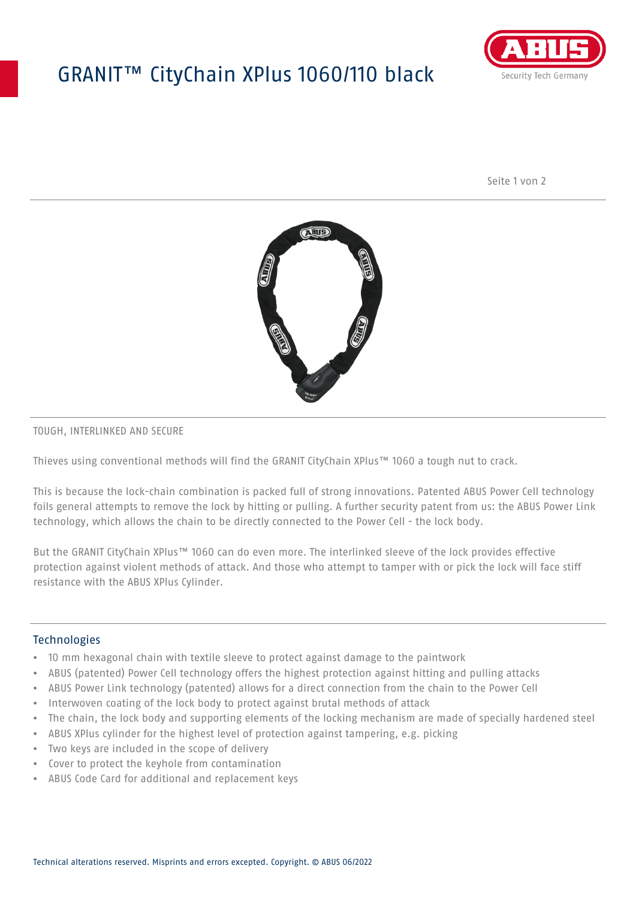# GRANIT™ CityChain XPlus 1060/110 black



Seite 1 von 2



#### TOUGH, INTERLINKED AND SECURE

Thieves using conventional methods will find the GRANIT CityChain XPlus™ 1060 a tough nut to crack.

This is because the lock-chain combination is packed full of strong innovations. Patented ABUS Power Cell technology foils general attempts to remove the lock by hitting or pulling. A further security patent from us: the ABUS Power Link technology, which allows the chain to be directly connected to the Power Cell - the lock body.

But the GRANIT CityChain XPlus™ 1060 can do even more. The interlinked sleeve of the lock provides effective protection against violent methods of attack. And those who attempt to tamper with or pick the lock will face stiff resistance with the ABUS XPlus Cylinder.

#### **Technologies**

- 10 mm hexagonal chain with textile sleeve to protect against damage to the paintwork
- ABUS (patented) Power Cell technology offers the highest protection against hitting and pulling attacks
- ABUS Power Link technology (patented) allows for a direct connection from the chain to the Power Cell
- Interwoven coating of the lock body to protect against brutal methods of attack
- The chain, the lock body and supporting elements of the locking mechanism are made of specially hardened steel
- ABUS XPlus cylinder for the highest level of protection against tampering, e.g. picking
- Two keys are included in the scope of delivery
- Cover to protect the keyhole from contamination
- ABUS Code Card for additional and replacement keys